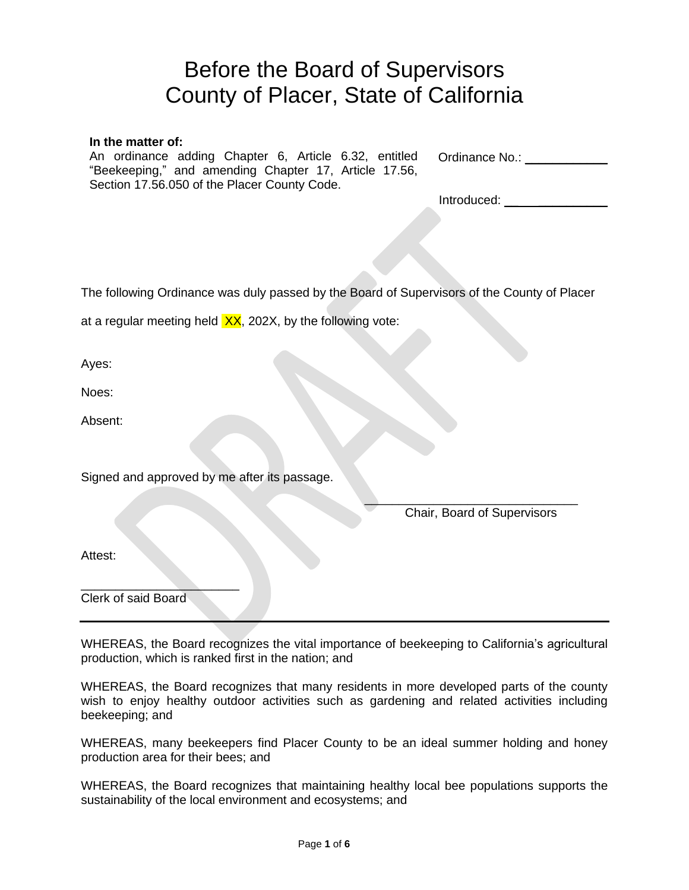# Before the Board of Supervisors County of Placer, State of California

Ordinance No.: **In the matter of:** An ordinance adding Chapter 6, Article 6.32, entitled "Beekeeping," and amending Chapter 17, Article 17.56, Section 17.56.050 of the Placer County Code.

| Introduced: |  |
|-------------|--|
|             |  |

The following Ordinance was duly passed by the Board of Supervisors of the County of Placer

at a regular meeting held  $XX$ , 202X, by the following vote:

Ayes:

Noes:

Absent:

Signed and approved by me after its passage.

 $\overline{\phantom{a}}$  , where the contract of the contract of the contract of the contract of the contract of the contract of the contract of the contract of the contract of the contract of the contract of the contract of the contr Chair, Board of Supervisors

Attest:

 $\overline{\phantom{a}}$  , we can assume that the contract of  $\overline{\phantom{a}}$ Clerk of said Board

WHEREAS, the Board recognizes the vital importance of beekeeping to California's agricultural production, which is ranked first in the nation; and

WHEREAS, the Board recognizes that many residents in more developed parts of the county wish to enjoy healthy outdoor activities such as gardening and related activities including beekeeping; and

WHEREAS, many beekeepers find Placer County to be an ideal summer holding and honey production area for their bees; and

WHEREAS, the Board recognizes that maintaining healthy local bee populations supports the sustainability of the local environment and ecosystems; and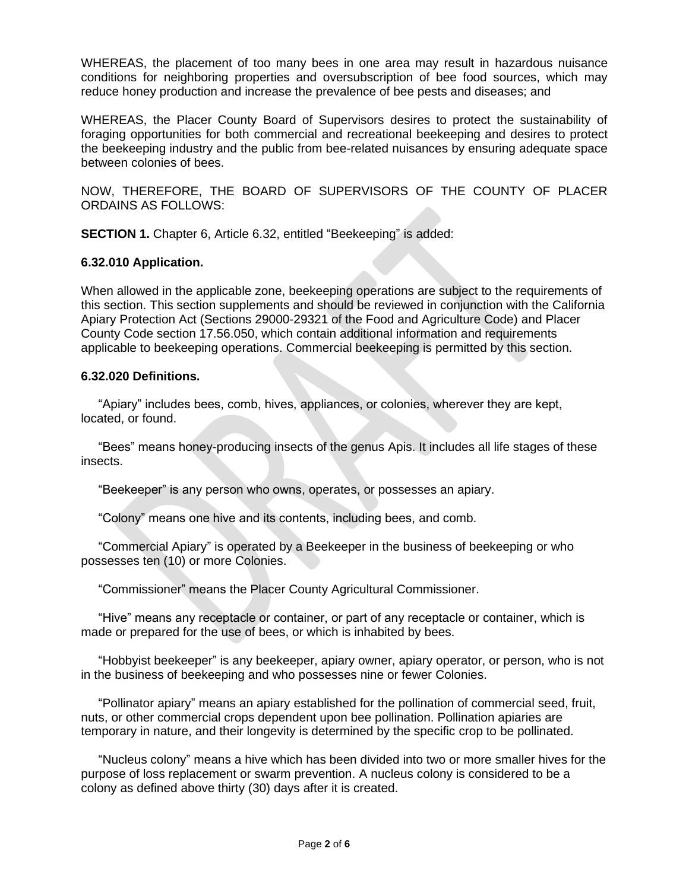WHEREAS, the placement of too many bees in one area may result in hazardous nuisance conditions for neighboring properties and oversubscription of bee food sources, which may reduce honey production and increase the prevalence of bee pests and diseases; and

WHEREAS, the Placer County Board of Supervisors desires to protect the sustainability of foraging opportunities for both commercial and recreational beekeeping and desires to protect the beekeeping industry and the public from bee-related nuisances by ensuring adequate space between colonies of bees.

NOW, THEREFORE, THE BOARD OF SUPERVISORS OF THE COUNTY OF PLACER ORDAINS AS FOLLOWS:

**SECTION 1.** Chapter 6, Article 6.32, entitled "Beekeeping" is added:

#### **6.32.010 Application.**

When allowed in the applicable zone, beekeeping operations are subject to the requirements of this section. This section supplements and should be reviewed in conjunction with the California Apiary Protection Act (Sections 29000-29321 of the Food and Agriculture Code) and Placer County Code section 17.56.050, which contain additional information and requirements applicable to beekeeping operations. Commercial beekeeping is permitted by this section.

#### **6.32.020 Definitions.**

 "Apiary" includes bees, comb, hives, appliances, or colonies, wherever they are kept, located, or found.

 "Bees" means honey-producing insects of the genus Apis. It includes all life stages of these insects.

"Beekeeper" is any person who owns, operates, or possesses an apiary.

"Colony" means one hive and its contents, including bees, and comb.

 "Commercial Apiary" is operated by a Beekeeper in the business of beekeeping or who possesses ten (10) or more Colonies.

"Commissioner" means the Placer County Agricultural Commissioner.

 "Hive" means any receptacle or container, or part of any receptacle or container, which is made or prepared for the use of bees, or which is inhabited by bees.

 "Hobbyist beekeeper" is any beekeeper, apiary owner, apiary operator, or person, who is not in the business of beekeeping and who possesses nine or fewer Colonies.

 "Pollinator apiary" means an apiary established for the pollination of commercial seed, fruit, nuts, or other commercial crops dependent upon bee pollination. Pollination apiaries are temporary in nature, and their longevity is determined by the specific crop to be pollinated.

 "Nucleus colony" means a hive which has been divided into two or more smaller hives for the purpose of loss replacement or swarm prevention. A nucleus colony is considered to be a colony as defined above thirty (30) days after it is created.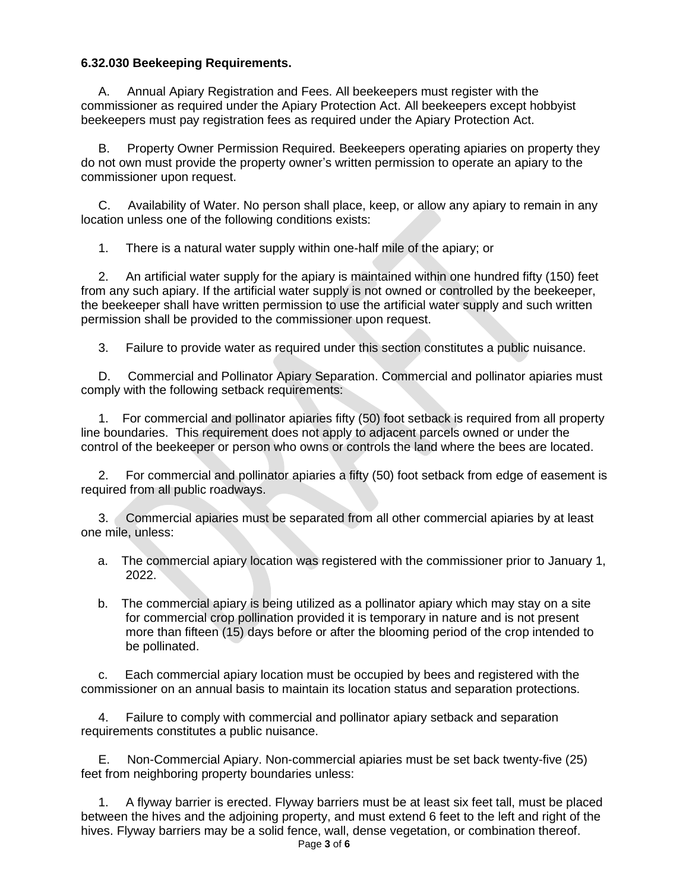#### **6.32.030 Beekeeping Requirements.**

Annual Apiary Registration and Fees. All beekeepers must register with the commissioner as required under the Apiary Protection Act. All beekeepers except hobbyist beekeepers must pay registration fees as required under the Apiary Protection Act.

 B. Property Owner Permission Required. Beekeepers operating apiaries on property they do not own must provide the property owner's written permission to operate an apiary to the commissioner upon request.

 C. Availability of Water. No person shall place, keep, or allow any apiary to remain in any location unless one of the following conditions exists:

1. There is a natural water supply within one-half mile of the apiary; or

 2. An artificial water supply for the apiary is maintained within one hundred fifty (150) feet from any such apiary. If the artificial water supply is not owned or controlled by the beekeeper, the beekeeper shall have written permission to use the artificial water supply and such written permission shall be provided to the commissioner upon request.

3. Failure to provide water as required under this section constitutes a public nuisance.

 D. Commercial and Pollinator Apiary Separation. Commercial and pollinator apiaries must comply with the following setback requirements:

 1. For commercial and pollinator apiaries fifty (50) foot setback is required from all property line boundaries. This requirement does not apply to adjacent parcels owned or under the control of the beekeeper or person who owns or controls the land where the bees are located.

 2. For commercial and pollinator apiaries a fifty (50) foot setback from edge of easement is required from all public roadways.

 3. Commercial apiaries must be separated from all other commercial apiaries by at least one mile, unless:

- a. The commercial apiary location was registered with the commissioner prior to January 1, 2022.
- b. The commercial apiary is being utilized as a pollinator apiary which may stay on a site for commercial crop pollination provided it is temporary in nature and is not present more than fifteen (15) days before or after the blooming period of the crop intended to be pollinated.

 c. Each commercial apiary location must be occupied by bees and registered with the commissioner on an annual basis to maintain its location status and separation protections.

 4. Failure to comply with commercial and pollinator apiary setback and separation requirements constitutes a public nuisance.

 E. Non-Commercial Apiary. Non-commercial apiaries must be set back twenty-five (25) feet from neighboring property boundaries unless:

 1. A flyway barrier is erected. Flyway barriers must be at least six feet tall, must be placed between the hives and the adjoining property, and must extend 6 feet to the left and right of the hives. Flyway barriers may be a solid fence, wall, dense vegetation, or combination thereof.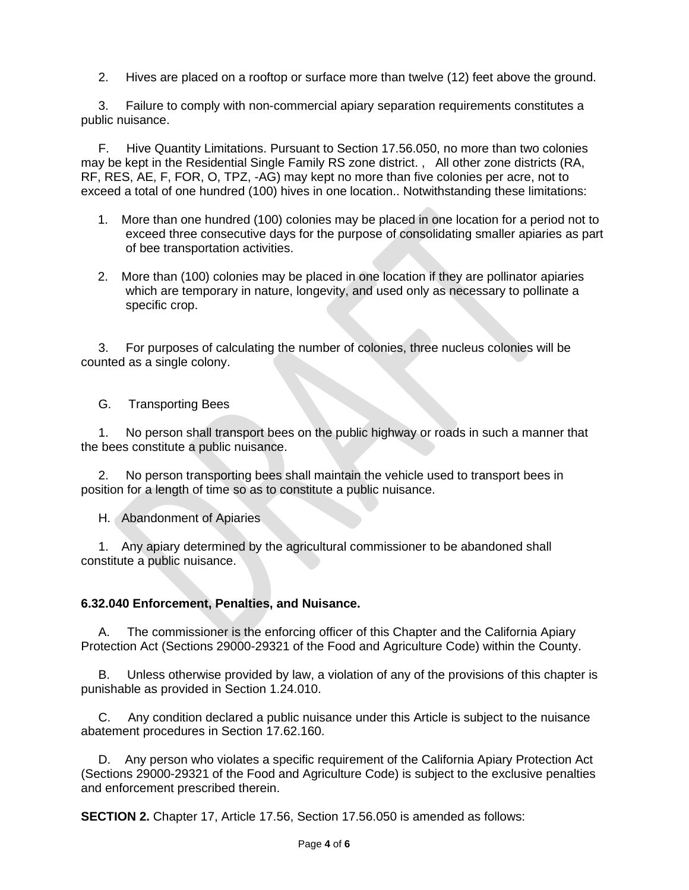2. Hives are placed on a rooftop or surface more than twelve (12) feet above the ground.

 3. Failure to comply with non-commercial apiary separation requirements constitutes a public nuisance.

 F. Hive Quantity Limitations. Pursuant to Section 17.56.050, no more than two colonies may be kept in the Residential Single Family RS zone district. , All other zone districts (RA, RF, RES, AE, F, FOR, O, TPZ, -AG) may kept no more than five colonies per acre, not to exceed a total of one hundred (100) hives in one location.. Notwithstanding these limitations:

- 1. More than one hundred (100) colonies may be placed in one location for a period not to exceed three consecutive days for the purpose of consolidating smaller apiaries as part of bee transportation activities.
- 2. More than (100) colonies may be placed in one location if they are pollinator apiaries which are temporary in nature, longevity, and used only as necessary to pollinate a specific crop.

 3. For purposes of calculating the number of colonies, three nucleus colonies will be counted as a single colony.

G. Transporting Bees

 1. No person shall transport bees on the public highway or roads in such a manner that the bees constitute a public nuisance.

 2. No person transporting bees shall maintain the vehicle used to transport bees in position for a length of time so as to constitute a public nuisance.

H. Abandonment of Apiaries

 1. Any apiary determined by the agricultural commissioner to be abandoned shall constitute a public nuisance.

#### **6.32.040 Enforcement, Penalties, and Nuisance.**

 A. The commissioner is the enforcing officer of this Chapter and the California Apiary Protection Act (Sections 29000-29321 of the Food and Agriculture Code) within the County.

 B. Unless otherwise provided by law, a violation of any of the provisions of this chapter is punishable as provided in Section 1.24.010.

 C. Any condition declared a public nuisance under this Article is subject to the nuisance abatement procedures in Section 17.62.160.

 D. Any person who violates a specific requirement of the California Apiary Protection Act (Sections 29000-29321 of the Food and Agriculture Code) is subject to the exclusive penalties and enforcement prescribed therein.

**SECTION 2.** Chapter 17, Article 17.56, Section 17.56.050 is amended as follows: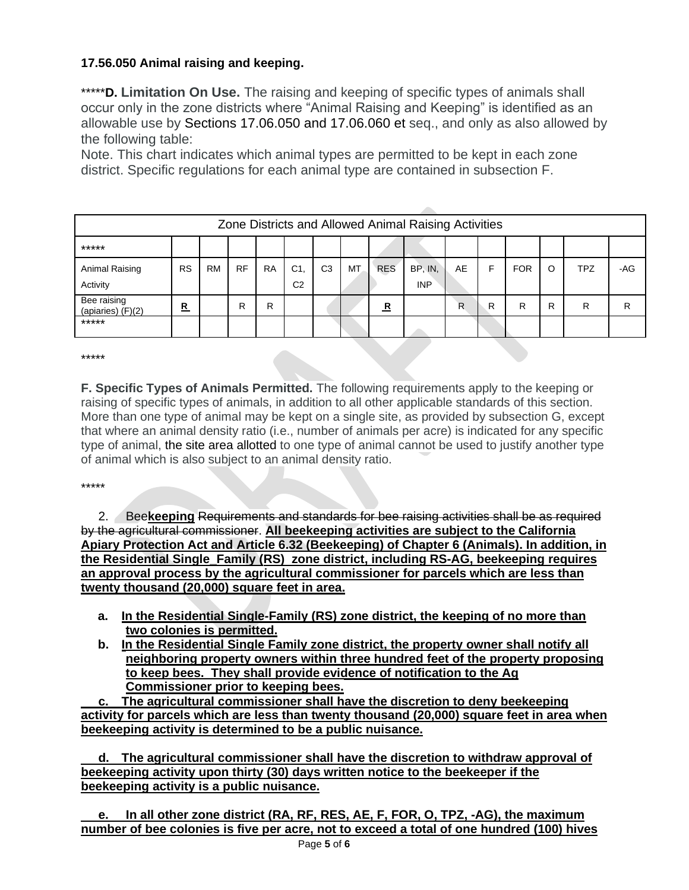## **17.56.050 Animal raising and keeping.**

\*\*\*\*\***D. Limitation On Use.** The raising and keeping of specific types of animals shall occur only in the zone districts where "Animal Raising and Keeping" is identified as an allowable use by Sections [17.06.050](https://codehub.gridics.com/us/ca/placer-county#/e67d224a-d74f-4939-836e-8536caf0dc27/410c7c3c-43a3-4a9a-8cff-b39bbd8f0a1e/5e801169-346f-466f-862a-568c24a8d168) and [17.06.060](https://codehub.gridics.com/us/ca/placer-county#/e67d224a-d74f-4939-836e-8536caf0dc27/410c7c3c-43a3-4a9a-8cff-b39bbd8f0a1e/594d3edf-da95-4e2a-b3f1-36612f26902f) et seq., and only as also allowed by the following table:

Note. This chart indicates which animal types are permitted to be kept in each zone district. Specific regulations for each animal type are contained in subsection F.

| Zone Districts and Allowed Animal Raising Activities |              |           |           |           |                                  |                |    |             |                       |    |   |            |   |            |     |
|------------------------------------------------------|--------------|-----------|-----------|-----------|----------------------------------|----------------|----|-------------|-----------------------|----|---|------------|---|------------|-----|
| *****                                                |              |           |           |           |                                  |                |    |             |                       |    |   |            |   |            |     |
| Animal Raising<br>Activity                           | <b>RS</b>    | <b>RM</b> | <b>RF</b> | <b>RA</b> | C <sub>1</sub><br>C <sub>2</sub> | C <sub>3</sub> | MT | <b>RES</b>  | BP, IN,<br><b>INP</b> | AE | F | <b>FOR</b> | O | <b>TPZ</b> | -AG |
| Bee raising<br>(apiaries) $(F)(2)$                   | $\mathbf{R}$ |           | R         | R         |                                  |                |    | $\mathbf R$ |                       | R  | R | R          | R | R          | R   |
| *****                                                |              |           |           |           |                                  |                |    |             |                       |    |   |            |   |            |     |

\*\*\*\*\*

**F. Specific Types of Animals Permitted.** The following requirements apply to the keeping or raising of specific types of animals, in addition to all other applicable standards of this section. More than one type of animal may be kept on a single site, as provided by subsection G, except that where an animal density ratio (i.e., number of animals per acre) is indicated for any specific type of animal, the site area allotted to one type of animal cannot be used to justify another type of animal which is also subject to an animal density ratio.

#### \*\*\*\*\*

 2. Bee**keeping** Requirements and standards for bee raising activities shall be as required by the agricultural commissioner. **All beekeeping activities are subject to the California Apiary Protection Act and Article 6.32 (Beekeeping) of Chapter 6 (Animals). In addition, in the Residential Single\_Family (RS) zone district, including RS-AG, beekeeping requires an approval process by the agricultural commissioner for parcels which are less than twenty thousand (20,000) square feet in area.** 

- **a. In the Residential Single-Family (RS) zone district, the keeping of no more than two colonies is permitted.**
- **b. In the Residential Single Family zone district, the property owner shall notify all neighboring property owners within three hundred feet of the property proposing to keep bees. They shall provide evidence of notification to the Ag Commissioner prior to keeping bees.**

 **c. The agricultural commissioner shall have the discretion to deny beekeeping activity for parcels which are less than twenty thousand (20,000) square feet in area when beekeeping activity is determined to be a public nuisance.** 

 **d. The agricultural commissioner shall have the discretion to withdraw approval of beekeeping activity upon thirty (30) days written notice to the beekeeper if the beekeeping activity is a public nuisance.** 

In all other zone district (RA, RF, RES, AE, F, FOR, O, TPZ, -AG), the maximum **number of bee colonies is five per acre, not to exceed a total of one hundred (100) hives**